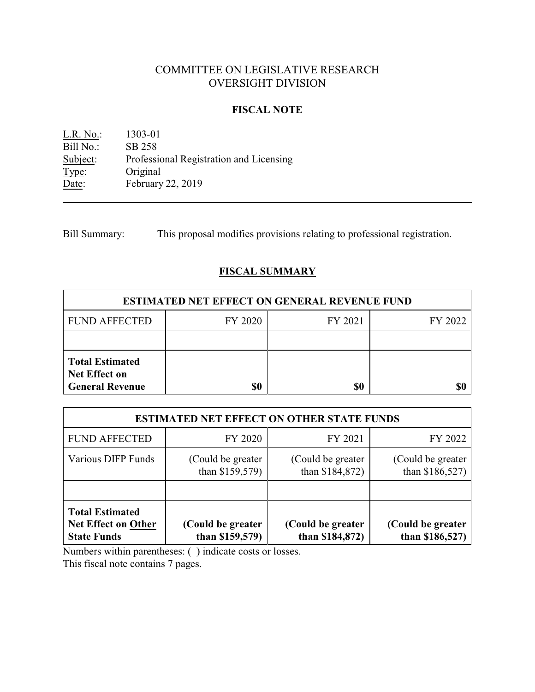# COMMITTEE ON LEGISLATIVE RESEARCH OVERSIGHT DIVISION

## **FISCAL NOTE**

L.R. No.: 1303-01 Bill No.: SB 258<br>Subject: Professi Professional Registration and Licensing Type: Original<br>Date: February February 22, 2019

Bill Summary: This proposal modifies provisions relating to professional registration.

## **FISCAL SUMMARY**

| <b>ESTIMATED NET EFFECT ON GENERAL REVENUE FUND</b>                      |         |         |         |  |
|--------------------------------------------------------------------------|---------|---------|---------|--|
| <b>FUND AFFECTED</b>                                                     | FY 2020 | FY 2021 | FY 2022 |  |
|                                                                          |         |         |         |  |
| <b>Total Estimated</b><br><b>Net Effect on</b><br><b>General Revenue</b> | \$0     | \$0     |         |  |

| <b>ESTIMATED NET EFFECT ON OTHER STATE FUNDS</b>                           |                                         |                                       |                                       |  |
|----------------------------------------------------------------------------|-----------------------------------------|---------------------------------------|---------------------------------------|--|
| <b>FUND AFFECTED</b>                                                       | FY 2020                                 | FY 2021                               | FY 2022                               |  |
| <b>Various DIFP Funds</b>                                                  | (Could be greater)<br>than $$159,579$ ) | (Could be greater)<br>than \$184,872) | (Could be greater)<br>than \$186,527) |  |
|                                                                            |                                         |                                       |                                       |  |
| <b>Total Estimated</b><br><b>Net Effect on Other</b><br><b>State Funds</b> | (Could be greater<br>than \$159,579)    | (Could be greater<br>than \$184,872)  | (Could be greater<br>than \$186,527)  |  |

Numbers within parentheses: ( ) indicate costs or losses.

This fiscal note contains 7 pages.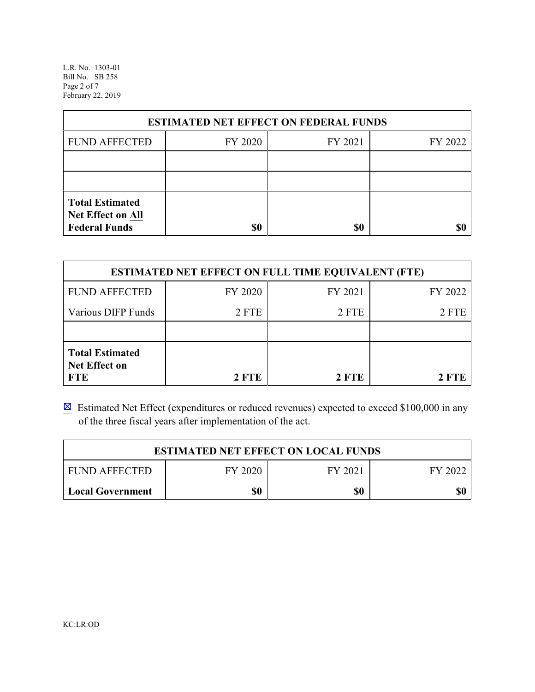L.R. No. 1303-01 Bill No. SB 258 Page 2 of 7 February 22, 2019

| <b>ESTIMATED NET EFFECT ON FEDERAL FUNDS</b>                        |         |         |         |  |
|---------------------------------------------------------------------|---------|---------|---------|--|
| <b>FUND AFFECTED</b>                                                | FY 2020 | FY 2021 | FY 2022 |  |
|                                                                     |         |         |         |  |
|                                                                     |         |         |         |  |
| <b>Total Estimated</b><br>Net Effect on All<br><b>Federal Funds</b> | \$0     | \$0     |         |  |

| <b>ESTIMATED NET EFFECT ON FULL TIME EQUIVALENT (FTE)</b>    |              |         |         |  |
|--------------------------------------------------------------|--------------|---------|---------|--|
| <b>FUND AFFECTED</b>                                         | FY 2020      | FY 2021 | FY 2022 |  |
| <b>Various DIFP Funds</b>                                    | 2 FTE        | 2 FTE   | 2 FTE   |  |
|                                                              |              |         |         |  |
| <b>Total Estimated</b><br><b>Net Effect on</b><br><b>FTE</b> | <b>2 FTE</b> | 2 FTE   | 2 FTE   |  |

 $\boxtimes$  Estimated Net Effect (expenditures or reduced revenues) expected to exceed \$100,000 in any of the three fiscal years after implementation of the act.

| <b>ESTIMATED NET EFFECT ON LOCAL FUNDS</b> |         |         |         |
|--------------------------------------------|---------|---------|---------|
| <b>FUND AFFECTED</b>                       | FY 2020 | FY 2021 | FY 2022 |
| <b>Local Government</b>                    | \$0     | \$0     | \$0     |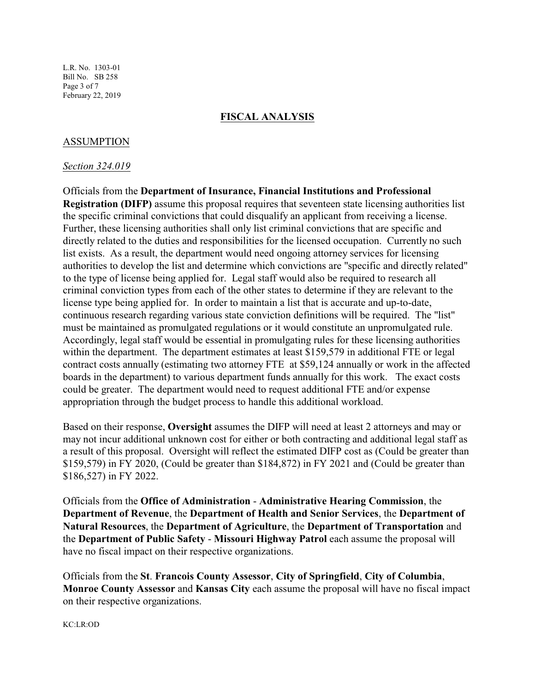## **FISCAL ANALYSIS**

## ASSUMPTION

#### *Section 324.019*

Officials from the **Department of Insurance, Financial Institutions and Professional Registration (DIFP)** assume this proposal requires that seventeen state licensing authorities list the specific criminal convictions that could disqualify an applicant from receiving a license. Further, these licensing authorities shall only list criminal convictions that are specific and directly related to the duties and responsibilities for the licensed occupation. Currently no such list exists. As a result, the department would need ongoing attorney services for licensing authorities to develop the list and determine which convictions are "specific and directly related" to the type of license being applied for. Legal staff would also be required to research all criminal conviction types from each of the other states to determine if they are relevant to the license type being applied for. In order to maintain a list that is accurate and up-to-date, continuous research regarding various state conviction definitions will be required. The "list" must be maintained as promulgated regulations or it would constitute an unpromulgated rule. Accordingly, legal staff would be essential in promulgating rules for these licensing authorities within the department. The department estimates at least \$159,579 in additional FTE or legal contract costs annually (estimating two attorney FTE at \$59,124 annually or work in the affected boards in the department) to various department funds annually for this work. The exact costs could be greater. The department would need to request additional FTE and/or expense appropriation through the budget process to handle this additional workload.

Based on their response, **Oversight** assumes the DIFP will need at least 2 attorneys and may or may not incur additional unknown cost for either or both contracting and additional legal staff as a result of this proposal. Oversight will reflect the estimated DIFP cost as (Could be greater than \$159,579) in FY 2020, (Could be greater than \$184,872) in FY 2021 and (Could be greater than \$186,527) in FY 2022.

Officials from the **Office of Administration** - **Administrative Hearing Commission**, the **Department of Revenue**, the **Department of Health and Senior Services**, the **Department of Natural Resources**, the **Department of Agriculture**, the **Department of Transportation** and the **Department of Public Safety** - **Missouri Highway Patrol** each assume the proposal will have no fiscal impact on their respective organizations.

Officials from the **St**. **Francois County Assessor**, **City of Springfield**, **City of Columbia**, **Monroe County Assessor** and **Kansas City** each assume the proposal will have no fiscal impact on their respective organizations.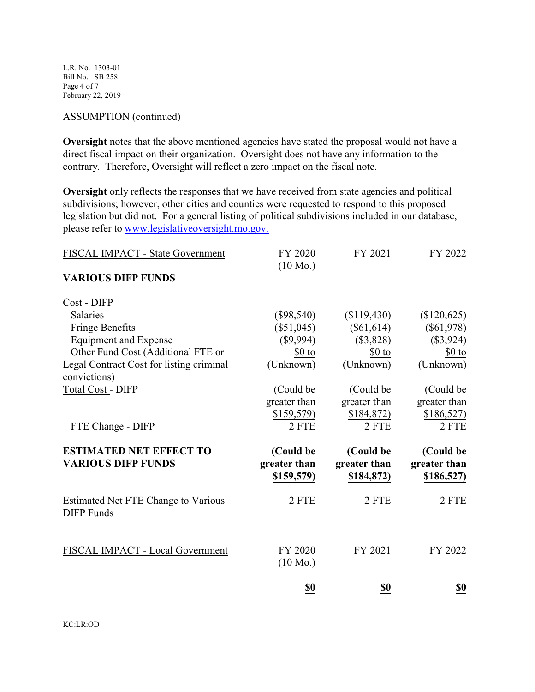L.R. No. 1303-01 Bill No. SB 258 Page 4 of 7 February 22, 2019

### ASSUMPTION (continued)

**Oversight** notes that the above mentioned agencies have stated the proposal would not have a direct fiscal impact on their organization. Oversight does not have any information to the contrary. Therefore, Oversight will reflect a zero impact on the fiscal note.

**Oversight** only reflects the responses that we have received from state agencies and political subdivisions; however, other cities and counties were requested to respond to this proposed legislation but did not. For a general listing of political subdivisions included in our database, please refer to [www.legislativeoversight.mo.gov.](http://www.legislativeoversight.mo.gov.)

| FISCAL IMPACT - State Government                         | FY 2020<br>$(10 \text{ Mo.})$     | FY 2021                           | FY 2022                           |
|----------------------------------------------------------|-----------------------------------|-----------------------------------|-----------------------------------|
| <b>VARIOUS DIFP FUNDS</b>                                |                                   |                                   |                                   |
| Cost - DIFP                                              |                                   |                                   |                                   |
| <b>Salaries</b>                                          | $(\$98,540)$                      | (\$119,430)                       | (\$120,625)                       |
| <b>Fringe Benefits</b>                                   | $(\$51,045)$                      | $(\$61,614)$                      | $(\$61,978)$                      |
| <b>Equipment and Expense</b>                             | (\$9,994)                         | (\$3,828)                         | (\$3,924)                         |
| Other Fund Cost (Additional FTE or                       | \$0 to                            | \$0 to                            | $$0$ to                           |
| Legal Contract Cost for listing criminal                 | (Unknown)                         | (Unknown)                         | (Unknown)                         |
| convictions)                                             |                                   |                                   |                                   |
| <b>Total Cost - DIFP</b>                                 | (Could be                         | (Could be                         | (Could be                         |
|                                                          | greater than                      | greater than                      | greater than                      |
|                                                          | \$159,579)                        | \$184,872)                        | \$186,527                         |
| FTE Change - DIFP                                        | 2 FTE                             | 2 FTE                             | 2 FTE                             |
| <b>ESTIMATED NET EFFECT TO</b>                           | (Could be                         | (Could be                         | (Could be                         |
| <b>VARIOUS DIFP FUNDS</b>                                | greater than<br><u>\$159,579)</u> | greater than<br><u>\$184,872)</u> | greater than<br><u>\$186,527)</u> |
| Estimated Net FTE Change to Various<br><b>DIFP</b> Funds | 2 FTE                             | 2 FTE                             | 2 FTE                             |
| FISCAL IMPACT - Local Government                         | FY 2020<br>$(10 \text{ Mo.})$     | FY 2021                           | FY 2022                           |
|                                                          | <u>\$0</u>                        | <u>\$0</u>                        | <u>\$0</u>                        |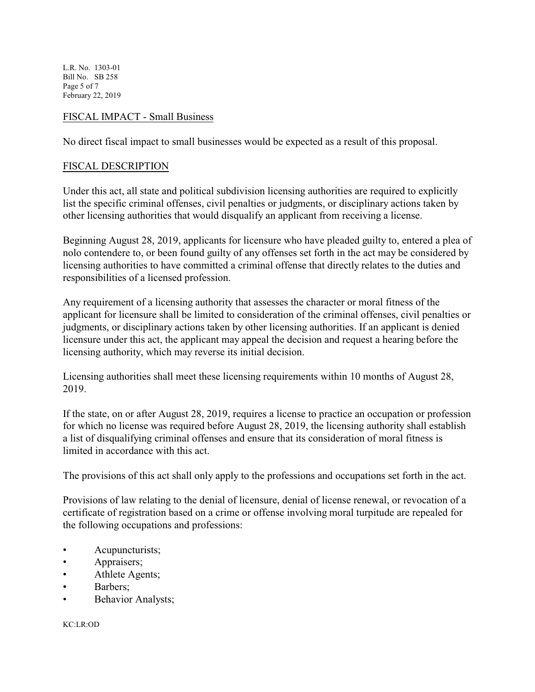L.R. No. 1303-01 Bill No. SB 258 Page 5 of 7 February 22, 2019

## FISCAL IMPACT - Small Business

No direct fiscal impact to small businesses would be expected as a result of this proposal.

## FISCAL DESCRIPTION

Under this act, all state and political subdivision licensing authorities are required to explicitly list the specific criminal offenses, civil penalties or judgments, or disciplinary actions taken by other licensing authorities that would disqualify an applicant from receiving a license.

Beginning August 28, 2019, applicants for licensure who have pleaded guilty to, entered a plea of nolo contendere to, or been found guilty of any offenses set forth in the act may be considered by licensing authorities to have committed a criminal offense that directly relates to the duties and responsibilities of a licensed profession.

Any requirement of a licensing authority that assesses the character or moral fitness of the applicant for licensure shall be limited to consideration of the criminal offenses, civil penalties or judgments, or disciplinary actions taken by other licensing authorities. If an applicant is denied licensure under this act, the applicant may appeal the decision and request a hearing before the licensing authority, which may reverse its initial decision.

Licensing authorities shall meet these licensing requirements within 10 months of August 28, 2019.

If the state, on or after August 28, 2019, requires a license to practice an occupation or profession for which no license was required before August 28, 2019, the licensing authority shall establish a list of disqualifying criminal offenses and ensure that its consideration of moral fitness is limited in accordance with this act.

The provisions of this act shall only apply to the professions and occupations set forth in the act.

Provisions of law relating to the denial of licensure, denial of license renewal, or revocation of a certificate of registration based on a crime or offense involving moral turpitude are repealed for the following occupations and professions:

- **Acupuncturists**;
- Appraisers;
- **Athlete Agents**;
- Barbers;
- Behavior Analysts;

KC:LR:OD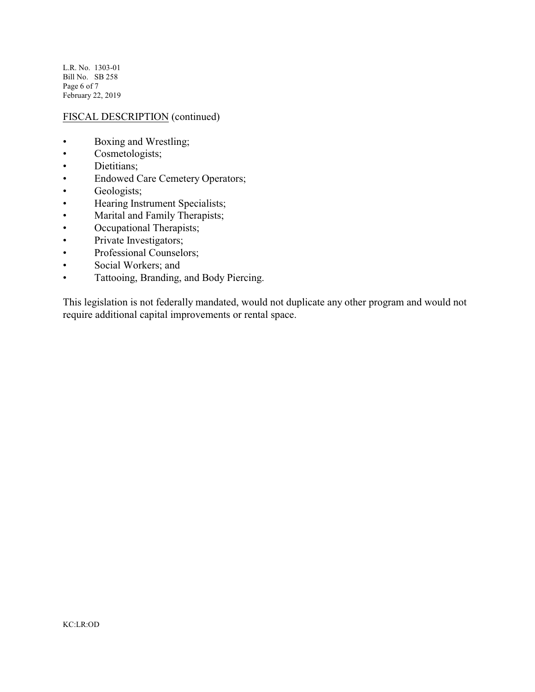L.R. No. 1303-01 Bill No. SB 258 Page 6 of 7 February 22, 2019

## FISCAL DESCRIPTION (continued)

- Boxing and Wrestling;
- Cosmetologists;
- Dietitians;
- Endowed Care Cemetery Operators;
- Geologists;
- Hearing Instrument Specialists;
- Marital and Family Therapists;
- Occupational Therapists;
- Private Investigators;
- Professional Counselors;
- Social Workers; and
- Tattooing, Branding, and Body Piercing.

This legislation is not federally mandated, would not duplicate any other program and would not require additional capital improvements or rental space.